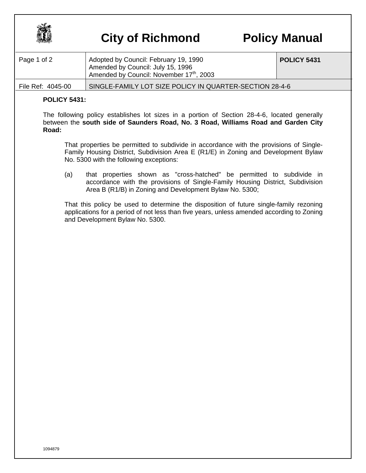

## **City of Richmond Policy Manual**

| Page 1 of 2       | Adopted by Council: February 19, 1990<br>Amended by Council: July 15, 1996<br>Amended by Council: November 17th, 2003 | <b>POLICY 5431</b> |
|-------------------|-----------------------------------------------------------------------------------------------------------------------|--------------------|
| File Ref: 4045-00 | SINGLE-FAMILY LOT SIZE POLICY IN QUARTER-SECTION 28-4-6                                                               |                    |

## **POLICY 5431:**

The following policy establishes lot sizes in a portion of Section 28-4-6, located generally between the **south side of Saunders Road, No. 3 Road, Williams Road and Garden City Road:**

That properties be permitted to subdivide in accordance with the provisions of Single-Family Housing District, Subdivision Area E (R1/E) in Zoning and Development Bylaw No. 5300 with the following exceptions:

(a) that properties shown as "cross-hatched" be permitted to subdivide in accordance with the provisions of Single-Family Housing District, Subdivision Area B (R1/B) in Zoning and Development Bylaw No. 5300;

That this policy be used to determine the disposition of future single-family rezoning applications for a period of not less than five years, unless amended according to Zoning and Development Bylaw No. 5300.